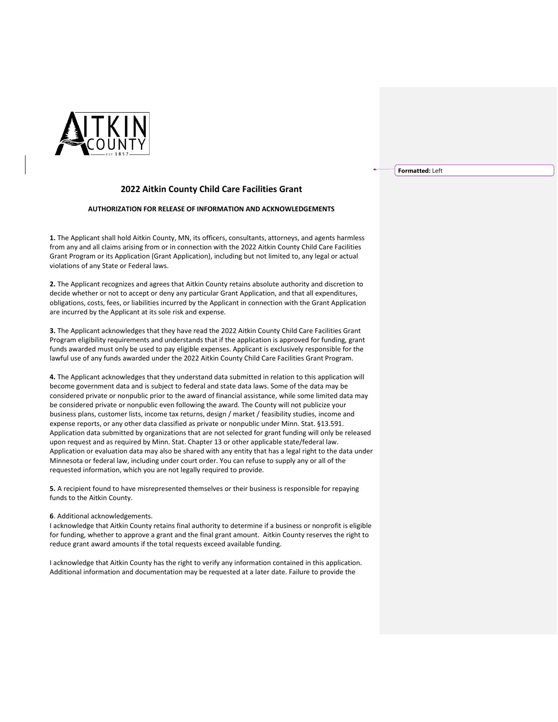

## **2022 Aitkin County Child Care Facilities Grant**

## **AUTHORIZATION FOR RELEASE OF INFORMATION AND ACKNOWLEDGEMENTS**

**1.** The Applicant shall hold Aitkin County, MN, its officers, consultants, attorneys, and agents harmless from any and all claims arising from or in connection with the 2022 Aitkin County Child Care Facilities Grant Program or its Application (Grant Application), including but not limited to, any legal or actual violations of any State or Federal laws.

**2.** The Applicant recognizes and agrees that Aitkin County retains absolute authority and discretion to decide whether or not to accept or deny any particular Grant Application, and that all expenditures, obligations, costs, fees, or liabilities incurred by the Applicant in connection with the Grant Application are incurred by the Applicant at its sole risk and expense.

**3.** The Applicant acknowledges that they have read the 2022 Aitkin County Child Care Facilities Grant Program eligibility requirements and understands that if the application is approved for funding, grant funds awarded must only be used to pay eligible expenses. Applicant is exclusively responsible for the lawful use of any funds awarded under the 2022 Aitkin County Child Care Facilities Grant Program.

**4.** The Applicant acknowledges that they understand data submitted in relation to this application will become government data and is subject to federal and state data laws. Some of the data may be considered private or nonpublic prior to the award of financial assistance, while some limited data may be considered private or nonpublic even following the award. The County will not publicize your business plans, customer lists, income tax returns, design / market / feasibility studies, income and expense reports, or any other data classified as private or nonpublic under Minn. Stat. §13.591. Application data submitted by organizations that are not selected for grant funding will only be released upon request and as required by Minn. Stat. Chapter 13 or other applicable state/federal law. Application or evaluation data may also be shared with any entity that has a legal right to the data under Minnesota or federal law, including under court order. You can refuse to supply any or all of the requested information, which you are not legally required to provide.

**5.** A recipient found to have misrepresented themselves or their business is responsible for repaying funds to the Aitkin County.

## **6**. Additional acknowledgements.

I acknowledge that Aitkin County retains final authority to determine if a business or nonprofit is eligible for funding, whether to approve a grant and the final grant amount. Aitkin County reserves the right to reduce grant award amounts if the total requests exceed available funding.

I acknowledge that Aitkin County has the right to verify any information contained in this application. Additional information and documentation may be requested at a later date. Failure to provide the

## **Formatted:** Left